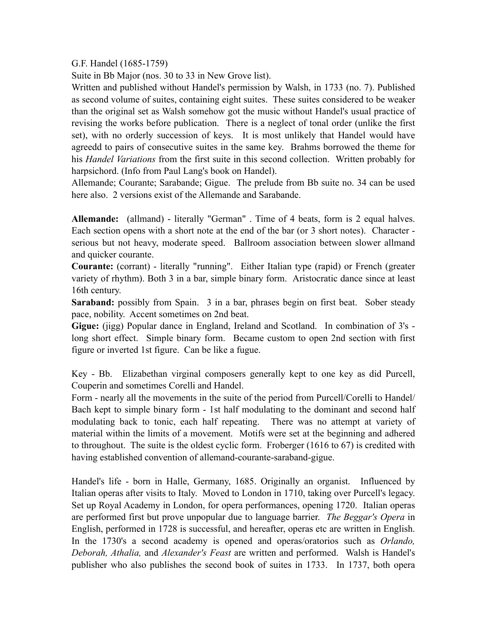G.F. Handel (1685-1759)

Suite in Bb Major (nos. 30 to 33 in New Grove list).

Written and published without Handel's permission by Walsh, in 1733 (no. 7). Published as second volume of suites, containing eight suites. These suites considered to be weaker than the original set as Walsh somehow got the music without Handel's usual practice of revising the works before publication. There is a neglect of tonal order (unlike the first set), with no orderly succession of keys. It is most unlikely that Handel would have agreedd to pairs of consecutive suites in the same key. Brahms borrowed the theme for his *Handel Variations* from the first suite in this second collection. Written probably for harpsichord. (Info from Paul Lang's book on Handel).

Allemande; Courante; Sarabande; Gigue. The prelude from Bb suite no. 34 can be used here also. 2 versions exist of the Allemande and Sarabande.

**Allemande:** (allmand) - literally "German" . Time of 4 beats, form is 2 equal halves. Each section opens with a short note at the end of the bar (or 3 short notes). Character serious but not heavy, moderate speed. Ballroom association between slower allmand and quicker courante.

**Courante:** (corrant) - literally "running". Either Italian type (rapid) or French (greater variety of rhythm). Both 3 in a bar, simple binary form. Aristocratic dance since at least 16th century.

**Saraband:** possibly from Spain. 3 in a bar, phrases begin on first beat. Sober steady pace, nobility. Accent sometimes on 2nd beat.

**Gigue:** (jigg) Popular dance in England, Ireland and Scotland. In combination of 3's long short effect. Simple binary form. Became custom to open 2nd section with first figure or inverted 1st figure. Can be like a fugue.

Key - Bb. Elizabethan virginal composers generally kept to one key as did Purcell, Couperin and sometimes Corelli and Handel.

Form - nearly all the movements in the suite of the period from Purcell/Corelli to Handel/ Bach kept to simple binary form - 1st half modulating to the dominant and second half modulating back to tonic, each half repeating. There was no attempt at variety of material within the limits of a movement. Motifs were set at the beginning and adhered to throughout. The suite is the oldest cyclic form. Froberger (1616 to 67) is credited with having established convention of allemand-courante-saraband-gigue.

Handel's life - born in Halle, Germany, 1685. Originally an organist. Influenced by Italian operas after visits to Italy. Moved to London in 1710, taking over Purcell's legacy. Set up Royal Academy in London, for opera performances, opening 1720. Italian operas are performed first but prove unpopular due to language barrier. *The Beggar's Opera* in English, performed in 1728 is successful, and hereafter, operas etc are written in English. In the 1730's a second academy is opened and operas/oratorios such as *Orlando, Deborah, Athalia,* and *Alexander's Feast* are written and performed. Walsh is Handel's publisher who also publishes the second book of suites in 1733. In 1737, both opera